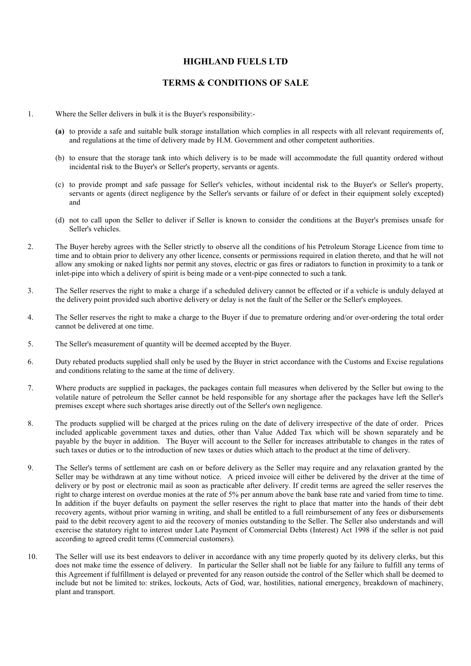## HIGHLAND FUELS LTD

## TERMS & CONDITIONS OF SALE

- 1. Where the Seller delivers in bulk it is the Buyer's responsibility:-
	- (a) to provide a safe and suitable bulk storage installation which complies in all respects with all relevant requirements of, and regulations at the time of delivery made by H.M. Government and other competent authorities.
	- (b) to ensure that the storage tank into which delivery is to be made will accommodate the full quantity ordered without incidental risk to the Buyer's or Seller's property, servants or agents.
	- (c) to provide prompt and safe passage for Seller's vehicles, without incidental risk to the Buyer's or Seller's property, servants or agents (direct negligence by the Seller's servants or failure of or defect in their equipment solely excepted) and
	- (d) not to call upon the Seller to deliver if Seller is known to consider the conditions at the Buyer's premises unsafe for Seller's vehicles.
- 2. The Buyer hereby agrees with the Seller strictly to observe all the conditions of his Petroleum Storage Licence from time to time and to obtain prior to delivery any other licence, consents or permissions required in elation thereto, and that he will not allow any smoking or naked lights nor permit any stoves, electric or gas fires or radiators to function in proximity to a tank or inlet-pipe into which a delivery of spirit is being made or a vent-pipe connected to such a tank.
- 3. The Seller reserves the right to make a charge if a scheduled delivery cannot be effected or if a vehicle is unduly delayed at the delivery point provided such abortive delivery or delay is not the fault of the Seller or the Seller's employees.
- 4. The Seller reserves the right to make a charge to the Buyer if due to premature ordering and/or over-ordering the total order cannot be delivered at one time.
- 5. The Seller's measurement of quantity will be deemed accepted by the Buyer.
- 6. Duty rebated products supplied shall only be used by the Buyer in strict accordance with the Customs and Excise regulations and conditions relating to the same at the time of delivery.
- 7. Where products are supplied in packages, the packages contain full measures when delivered by the Seller but owing to the volatile nature of petroleum the Seller cannot be held responsible for any shortage after the packages have left the Seller's premises except where such shortages arise directly out of the Seller's own negligence.
- 8. The products supplied will be charged at the prices ruling on the date of delivery irrespective of the date of order. Prices included applicable government taxes and duties, other than Value Added Tax which will be shown separately and be payable by the buyer in addition. The Buyer will account to the Seller for increases attributable to changes in the rates of such taxes or duties or to the introduction of new taxes or duties which attach to the product at the time of delivery.
- 9. The Seller's terms of settlement are cash on or before delivery as the Seller may require and any relaxation granted by the Seller may be withdrawn at any time without notice. A priced invoice will either be delivered by the driver at the time of delivery or by post or electronic mail as soon as practicable after delivery. If credit terms are agreed the seller reserves the right to charge interest on overdue monies at the rate of 5% per annum above the bank base rate and varied from time to time. In addition if the buyer defaults on payment the seller reserves the right to place that matter into the hands of their debt recovery agents, without prior warning in writing, and shall be entitled to a full reimbursement of any fees or disbursements paid to the debit recovery agent to aid the recovery of monies outstanding to the Seller. The Seller also understands and will exercise the statutory right to interest under Late Payment of Commercial Debts (Interest) Act 1998 if the seller is not paid according to agreed credit terms (Commercial customers).
- 10. The Seller will use its best endeavors to deliver in accordance with any time properly quoted by its delivery clerks, but this does not make time the essence of delivery. In particular the Seller shall not be liable for any failure to fulfill any terms of this Agreement if fulfillment is delayed or prevented for any reason outside the control of the Seller which shall be deemed to include but not be limited to: strikes, lockouts, Acts of God, war, hostilities, national emergency, breakdown of machinery, plant and transport.